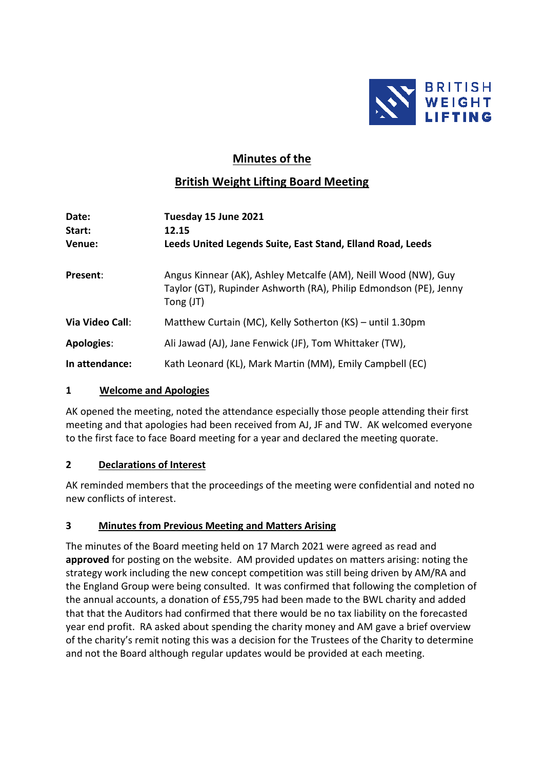

## **Minutes of the**

## **British Weight Lifting Board Meeting**

| Date:<br>Start:<br>Venue: | Tuesday 15 June 2021<br>12.15<br>Leeds United Legends Suite, East Stand, Elland Road, Leeds |                 |                                                                                                                                                  |
|---------------------------|---------------------------------------------------------------------------------------------|-----------------|--------------------------------------------------------------------------------------------------------------------------------------------------|
|                           |                                                                                             | Present:        | Angus Kinnear (AK), Ashley Metcalfe (AM), Neill Wood (NW), Guy<br>Taylor (GT), Rupinder Ashworth (RA), Philip Edmondson (PE), Jenny<br>Tong (JT) |
|                           |                                                                                             | Via Video Call: | Matthew Curtain (MC), Kelly Sotherton (KS) - until 1.30pm                                                                                        |
| <b>Apologies:</b>         | Ali Jawad (AJ), Jane Fenwick (JF), Tom Whittaker (TW),                                      |                 |                                                                                                                                                  |
| In attendance:            | Kath Leonard (KL), Mark Martin (MM), Emily Campbell (EC)                                    |                 |                                                                                                                                                  |

#### **1 Welcome and Apologies**

AK opened the meeting, noted the attendance especially those people attending their first meeting and that apologies had been received from AJ, JF and TW. AK welcomed everyone to the first face to face Board meeting for a year and declared the meeting quorate.

#### **2 Declarations of Interest**

AK reminded members that the proceedings of the meeting were confidential and noted no new conflicts of interest.

#### **3 Minutes from Previous Meeting and Matters Arising**

The minutes of the Board meeting held on 17 March 2021 were agreed as read and **approved** for posting on the website. AM provided updates on matters arising: noting the strategy work including the new concept competition was still being driven by AM/RA and the England Group were being consulted. It was confirmed that following the completion of the annual accounts, a donation of £55,795 had been made to the BWL charity and added that that the Auditors had confirmed that there would be no tax liability on the forecasted year end profit. RA asked about spending the charity money and AM gave a brief overview of the charity's remit noting this was a decision for the Trustees of the Charity to determine and not the Board although regular updates would be provided at each meeting.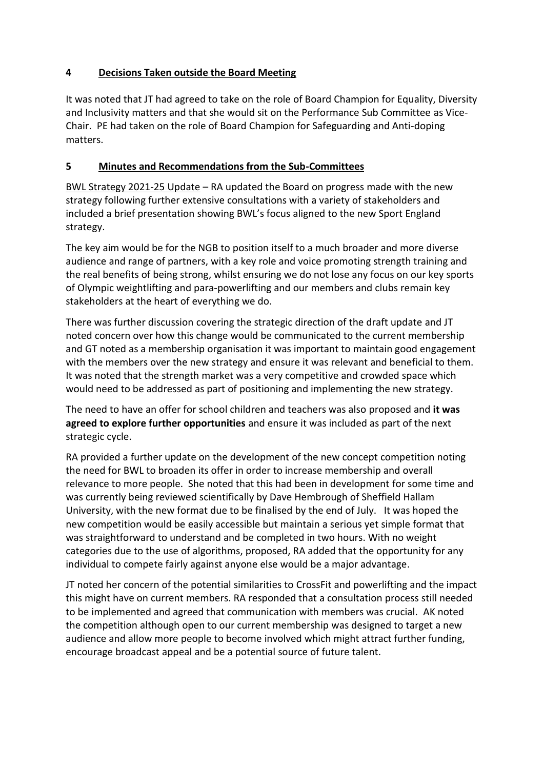## **4 Decisions Taken outside the Board Meeting**

It was noted that JT had agreed to take on the role of Board Champion for Equality, Diversity and Inclusivity matters and that she would sit on the Performance Sub Committee as Vice-Chair. PE had taken on the role of Board Champion for Safeguarding and Anti-doping matters.

### **5 Minutes and Recommendations from the Sub-Committees**

BWL Strategy 2021-25 Update – RA updated the Board on progress made with the new strategy following further extensive consultations with a variety of stakeholders and included a brief presentation showing BWL's focus aligned to the new Sport England strategy.

The key aim would be for the NGB to position itself to a much broader and more diverse audience and range of partners, with a key role and voice promoting strength training and the real benefits of being strong, whilst ensuring we do not lose any focus on our key sports of Olympic weightlifting and para-powerlifting and our members and clubs remain key stakeholders at the heart of everything we do.

There was further discussion covering the strategic direction of the draft update and JT noted concern over how this change would be communicated to the current membership and GT noted as a membership organisation it was important to maintain good engagement with the members over the new strategy and ensure it was relevant and beneficial to them. It was noted that the strength market was a very competitive and crowded space which would need to be addressed as part of positioning and implementing the new strategy.

The need to have an offer for school children and teachers was also proposed and **it was agreed to explore further opportunities** and ensure it was included as part of the next strategic cycle.

RA provided a further update on the development of the new concept competition noting the need for BWL to broaden its offer in order to increase membership and overall relevance to more people. She noted that this had been in development for some time and was currently being reviewed scientifically by Dave Hembrough of Sheffield Hallam University, with the new format due to be finalised by the end of July. It was hoped the new competition would be easily accessible but maintain a serious yet simple format that was straightforward to understand and be completed in two hours. With no weight categories due to the use of algorithms, proposed, RA added that the opportunity for any individual to compete fairly against anyone else would be a major advantage.

JT noted her concern of the potential similarities to CrossFit and powerlifting and the impact this might have on current members. RA responded that a consultation process still needed to be implemented and agreed that communication with members was crucial. AK noted the competition although open to our current membership was designed to target a new audience and allow more people to become involved which might attract further funding, encourage broadcast appeal and be a potential source of future talent.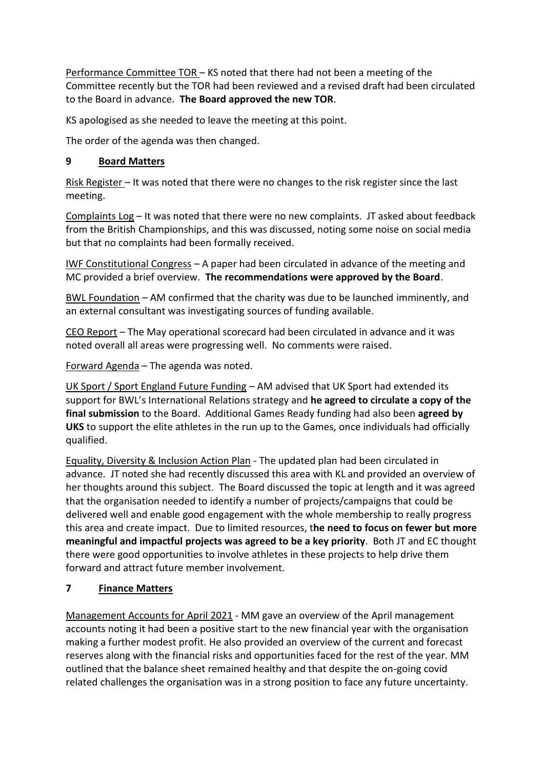Performance Committee TOR – KS noted that there had not been a meeting of the Committee recently but the TOR had been reviewed and a revised draft had been circulated to the Board in advance. **The Board approved the new TOR**.

KS apologised as she needed to leave the meeting at this point.

The order of the agenda was then changed.

### **9 Board Matters**

Risk Register – It was noted that there were no changes to the risk register since the last meeting.

Complaints Log – It was noted that there were no new complaints. JT asked about feedback from the British Championships, and this was discussed, noting some noise on social media but that no complaints had been formally received.

IWF Constitutional Congress – A paper had been circulated in advance of the meeting and MC provided a brief overview. **The recommendations were approved by the Board**.

BWL Foundation – AM confirmed that the charity was due to be launched imminently, and an external consultant was investigating sources of funding available.

CEO Report – The May operational scorecard had been circulated in advance and it was noted overall all areas were progressing well. No comments were raised.

Forward Agenda – The agenda was noted.

UK Sport / Sport England Future Funding – AM advised that UK Sport had extended its support for BWL's International Relations strategy and **he agreed to circulate a copy of the final submission** to the Board. Additional Games Ready funding had also been **agreed by UKS** to support the elite athletes in the run up to the Games, once individuals had officially qualified.

Equality, Diversity & Inclusion Action Plan - The updated plan had been circulated in advance. JT noted she had recently discussed this area with KL and provided an overview of her thoughts around this subject. The Board discussed the topic at length and it was agreed that the organisation needed to identify a number of projects/campaigns that could be delivered well and enable good engagement with the whole membership to really progress this area and create impact. Due to limited resources, t**he need to focus on fewer but more meaningful and impactful projects was agreed to be a key priority**. Both JT and EC thought there were good opportunities to involve athletes in these projects to help drive them forward and attract future member involvement.

#### **7 Finance Matters**

Management Accounts for April 2021 - MM gave an overview of the April management accounts noting it had been a positive start to the new financial year with the organisation making a further modest profit. He also provided an overview of the current and forecast reserves along with the financial risks and opportunities faced for the rest of the year. MM outlined that the balance sheet remained healthy and that despite the on-going covid related challenges the organisation was in a strong position to face any future uncertainty.